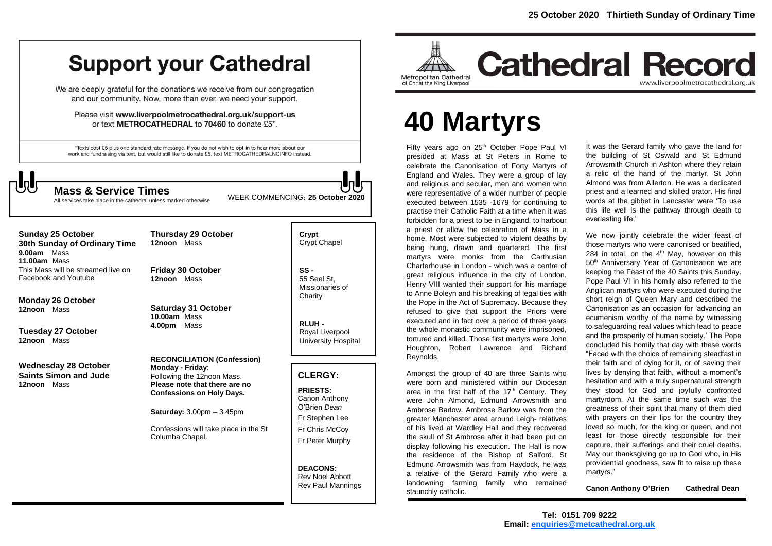# **Support your Cathedral**

We are deeply grateful for the donations we receive from our congregation and our community. Now, more than ever, we need your support.

Please visit www.liverpoolmetrocathedral.org.uk/support-us or text METROCATHEDRAL to 70460 to donate £5\*.

\*Texts cost £5 plus one standard rate message. If you do not wish to opt-in to hear more about our work and fundraising via text, but would still like to donate £5, text METROCATHEDRALNOINFO instead.



All services take place in the cathedral unless marked otherwise

WEEK COMMENCING: **<sup>25</sup> October <sup>2020</sup> Mass & Service Times**

### **Sunday 25 October**

**30th Sunday of Ordinary Time 9.00am** Mass **11.00am** Mass This Mass will be streamed live on Facebook and Youtube

**Monday 26 October 12noon** Mass

**Tuesday 27 October 12noon** Mass

**Wednesday 28 October Saints Simon and Jude 12noon** Mass

**12noon** Mass

**Thursday 29 October** 

**Friday 30 October 12noon** Mass

**Saturday 31 October 10.00am** Mass **4.00pm** Mass

**RECONCILIATION (Confession) Monday - Friday**: Following the 12noon Mass. **Please note that there are no Confessions on Holy Days.**

**Saturday:** 3.00pm – 3.45pm

Confessions will take place in the St Columba Chapel.

**Crypt**  Crypt Chapel

**SS -** 55 Seel St, Missionaries of **Charity** 

**RLUH -** Royal Liverpool University Hospital

## **CLERGY:**

**PRIESTS:** Canon Anthony O'Brien *Dean* Fr Stephen Lee Fr Chris McCoy Fr Peter Murphy

**DEACONS:** Rev Noel Abbott Rev Paul Mannings



**Cathedral Record** www.liverpoolmetrocathedral.org.uk

# **40 Martyrs**

Fifty years ago on 25<sup>th</sup> October Pope Paul VI presided at Mass at St Peters in Rome to celebrate the Canonisation of Forty Martyrs of England and Wales. They were a group of lay and religious and secular, men and women who were representative of a wider number of people executed between 1535 -1679 for continuing to practise their Catholic Faith at a time when it was forbidden for a priest to be in England, to harbour a priest or allow the celebration of Mass in a home. Most were subjected to violent deaths by being hung, drawn and quartered. The first martyrs were monks from the Carthusian Charterhouse in London - which was a centre of great religious influence in the city of London. Henry VIII wanted their support for his marriage to Anne Boleyn and his breaking of legal ties with the Pope in the Act of Supremacy. Because they refused to give that support the Priors were executed and in fact over a period of three years the whole monastic community were imprisoned, tortured and killed. Those first martyrs were John Houghton, Robert Lawrence and Richard Reynolds.

Amongst the group of 40 are three Saints who were born and ministered within our Diocesan area in the first half of the  $17<sup>th</sup>$  Century. They were John Almond, Edmund Arrowsmith and Ambrose Barlow. Ambrose Barlow was from the greater Manchester area around Leigh- relatives of his lived at Wardley Hall and they recovered the skull of St Ambrose after it had been put on display following his execution. The Hall is now the residence of the Bishop of Salford. St Edmund Arrowsmith was from Haydock, he was a relative of the Gerard Family who were a landowning farming family who remained staunchly catholic.

It was the Gerard family who gave the land for the building of St Oswald and St Edmund Arrowsmith Church in Ashton where they retain a relic of the hand of the martyr. St John Almond was from Allerton. He was a dedicated priest and a learned and skilled orator. His final words at the gibbet in Lancaster were 'To use this life well is the pathway through death to everlasting life.'

We now jointly celebrate the wider feast of those martyrs who were canonised or beatified, 284 in total, on the  $4<sup>th</sup>$  May, however on this 50<sup>th</sup> Anniversary Year of Canonisation we are keeping the Feast of the 40 Saints this Sunday. Pope Paul VI in his homily also referred to the Anglican martyrs who were executed during the short reign of Queen Mary and described the Canonisation as an occasion for 'advancing an ecumenism worthy of the name by witnessing to safeguarding real values which lead to peace and the prosperity of human society.' The Pope concluded his homily that day with these words "Faced with the choice of remaining steadfast in their faith and of dying for it, or of saving their lives by denying that faith, without a moment's hesitation and with a truly supernatural strength they stood for God and joyfully confronted martyrdom. At the same time such was the greatness of their spirit that many of them died with prayers on their lips for the country they loved so much, for the king or queen, and not least for those directly responsible for their capture, their sufferings and their cruel deaths. May our thanksgiving go up to God who, in His providential goodness, saw fit to raise up these martyrs."

**Canon Anthony O'Brien Cathedral Dean**